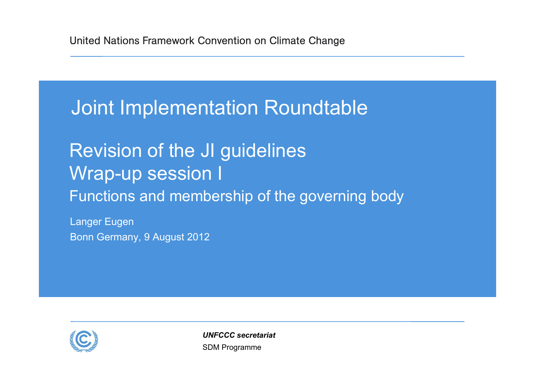## Joint Implementation Roundtable

## Revision of the JI guidelines Wrap-up session I Functions and membership of the governing body

Langer Eugen Bonn Germany, 9 August 2012



SDM Programme *UNFCCC secretariat*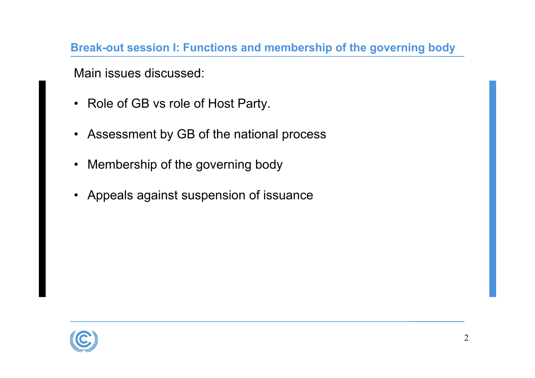**Break-out session I: Functions and membership of the governing body**

Main issues discussed:

- Role of GB vs role of Host Party.
- Assessment by GB of the national process
- Membership of the governing body
- $\bullet$ Appeals against suspension of issuance

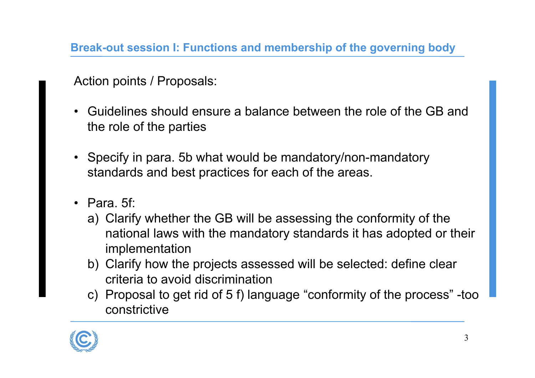**Break-out session I: Functions and membership of the governing body**

Action points / Proposals:

- • Guidelines should ensure a balance between the role of the GB and the role of the parties
- Specify in para. 5b what would be mandatory/non-mandatory standards and best practices for each of the areas.
- Para. 5f:
	- a) Clarify whether the GB will be assessing the conformity of the national laws with the mandatory standards it has adopted or their implementation
	- b) Clarify how the projects assessed will be selected: define clear criteria to avoid discrimination
	- c) Proposal to get rid of 5 f) language "conformity of the process" -too constrictive